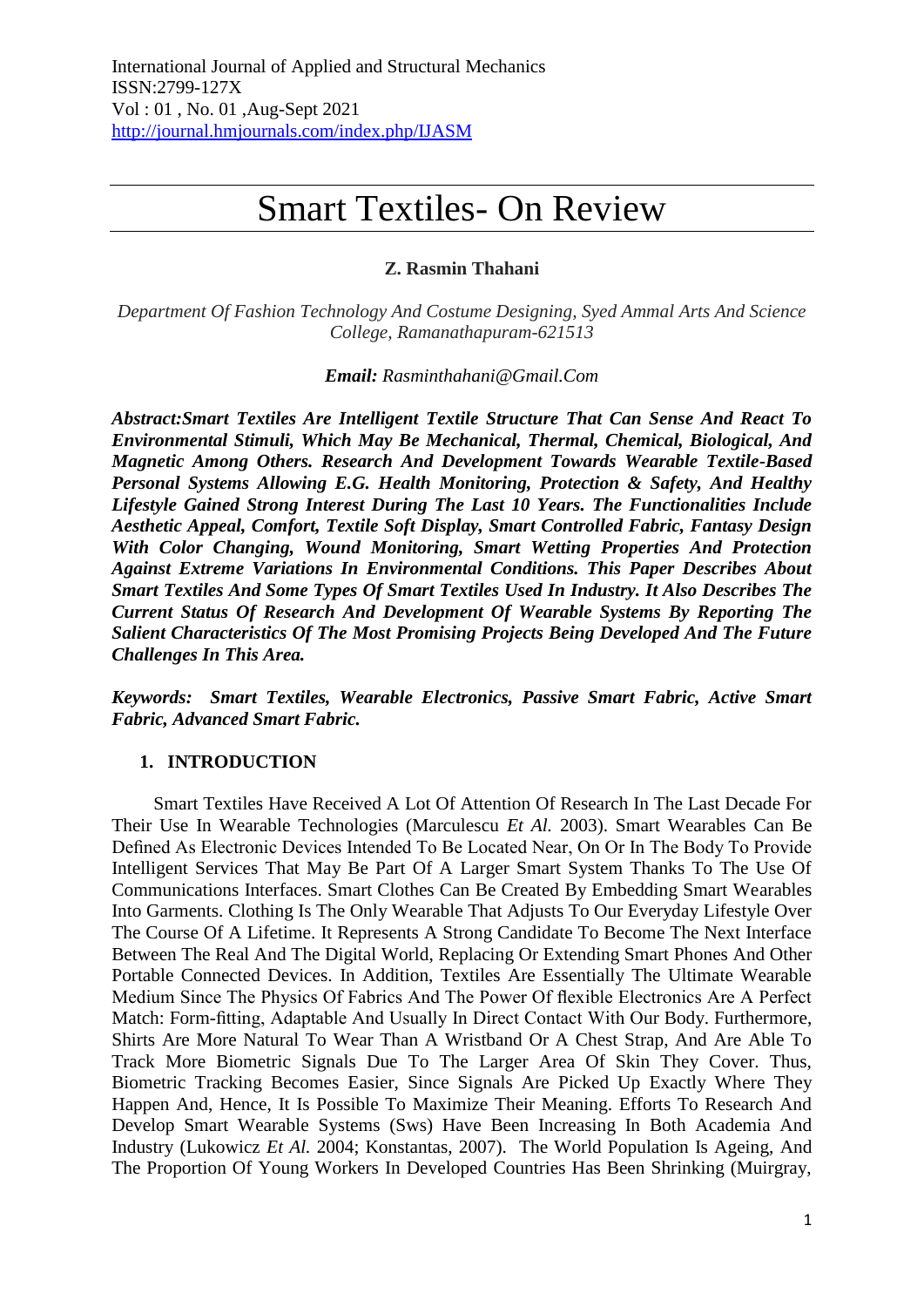# Smart Textiles- On Review

# **Z. Rasmin Thahani**

*Department Of Fashion Technology And Costume Designing, Syed Ammal Arts And Science College, Ramanathapuram-621513*

### *Email: Rasminthahani@Gmail.Com*

*Abstract:Smart Textiles Are Intelligent Textile Structure That Can Sense And React To Environmental Stimuli, Which May Be Mechanical, Thermal, Chemical, Biological, And Magnetic Among Others. Research And Development Towards Wearable Textile-Based Personal Systems Allowing E.G. Health Monitoring, Protection & Safety, And Healthy Lifestyle Gained Strong Interest During The Last 10 Years. The Functionalities Include Aesthetic Appeal, Comfort, Textile Soft Display, Smart Controlled Fabric, Fantasy Design With Color Changing, Wound Monitoring, Smart Wetting Properties And Protection Against Extreme Variations In Environmental Conditions. This Paper Describes About Smart Textiles And Some Types Of Smart Textiles Used In Industry. It Also Describes The Current Status Of Research And Development Of Wearable Systems By Reporting The Salient Characteristics Of The Most Promising Projects Being Developed And The Future Challenges In This Area.*

*Keywords: Smart Textiles, Wearable Electronics, Passive Smart Fabric, Active Smart Fabric, Advanced Smart Fabric.*

# **1. INTRODUCTION**

Smart Textiles Have Received A Lot Of Attention Of Research In The Last Decade For Their Use In Wearable Technologies (Marculescu *Et Al.* 2003). Smart Wearables Can Be Defined As Electronic Devices Intended To Be Located Near, On Or In The Body To Provide Intelligent Services That May Be Part Of A Larger Smart System Thanks To The Use Of Communications Interfaces. Smart Clothes Can Be Created By Embedding Smart Wearables Into Garments. Clothing Is The Only Wearable That Adjusts To Our Everyday Lifestyle Over The Course Of A Lifetime. It Represents A Strong Candidate To Become The Next Interface Between The Real And The Digital World, Replacing Or Extending Smart Phones And Other Portable Connected Devices. In Addition, Textiles Are Essentially The Ultimate Wearable Medium Since The Physics Of Fabrics And The Power Of flexible Electronics Are A Perfect Match: Form-fitting, Adaptable And Usually In Direct Contact With Our Body. Furthermore, Shirts Are More Natural To Wear Than A Wristband Or A Chest Strap, And Are Able To Track More Biometric Signals Due To The Larger Area Of Skin They Cover. Thus, Biometric Tracking Becomes Easier, Since Signals Are Picked Up Exactly Where They Happen And, Hence, It Is Possible To Maximize Their Meaning. Efforts To Research And Develop Smart Wearable Systems (Sws) Have Been Increasing In Both Academia And Industry (Lukowicz *Et Al.* 2004; Konstantas, 2007). The World Population Is Ageing, And The Proportion Of Young Workers In Developed Countries Has Been Shrinking (Muirgray,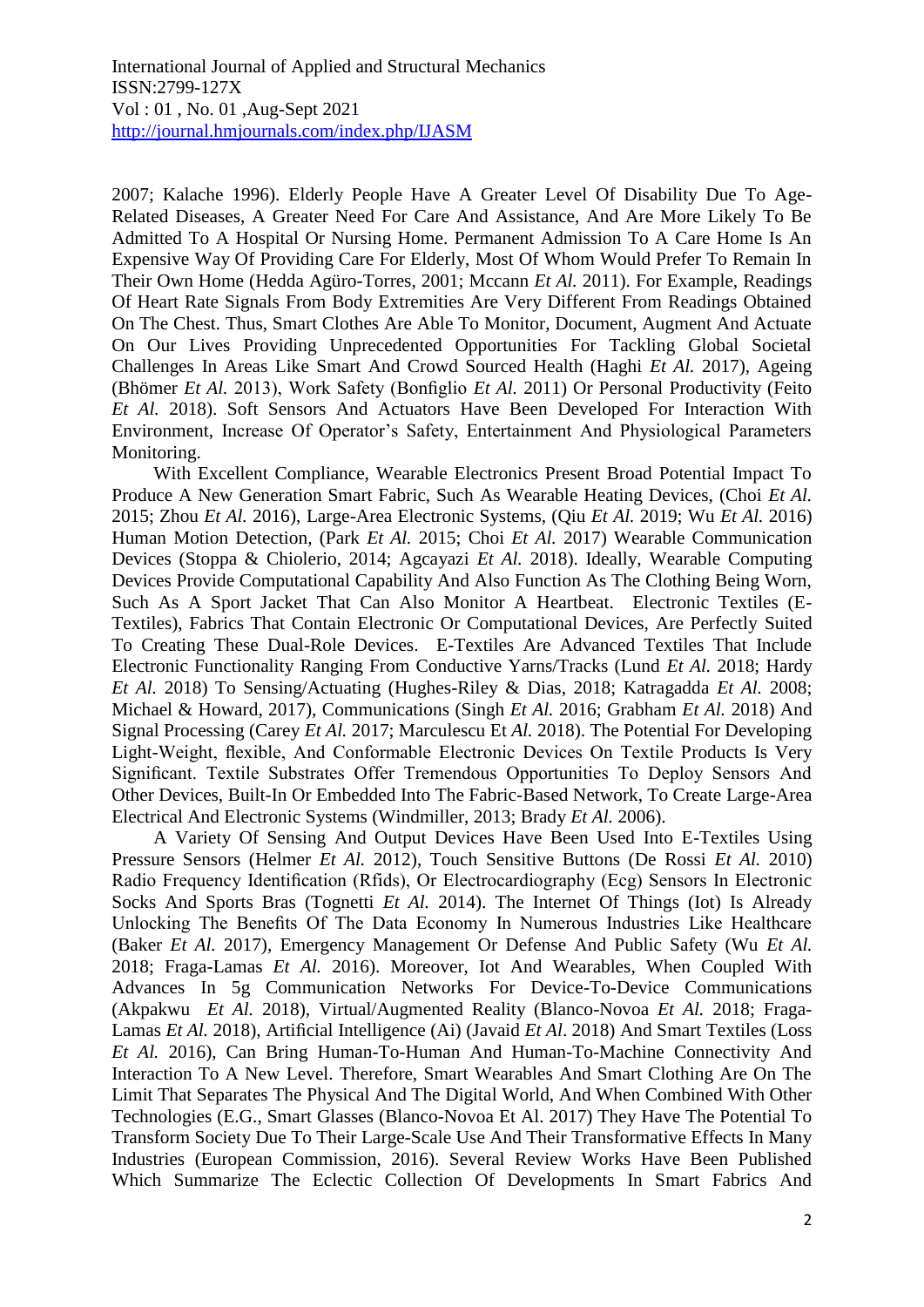2007; Kalache 1996). Elderly People Have A Greater Level Of Disability Due To Age-Related Diseases, A Greater Need For Care And Assistance, And Are More Likely To Be Admitted To A Hospital Or Nursing Home. Permanent Admission To A Care Home Is An Expensive Way Of Providing Care For Elderly, Most Of Whom Would Prefer To Remain In Their Own Home (Hedda Agüro-Torres, 2001; Mccann *Et Al.* 2011). For Example, Readings Of Heart Rate Signals From Body Extremities Are Very Different From Readings Obtained On The Chest. Thus, Smart Clothes Are Able To Monitor, Document, Augment And Actuate On Our Lives Providing Unprecedented Opportunities For Tackling Global Societal Challenges In Areas Like Smart And Crowd Sourced Health (Haghi *Et Al.* 2017), Ageing (Bhömer *Et Al.* 2013), Work Safety (Bonfiglio *Et Al.* 2011) Or Personal Productivity (Feito *Et Al.* 2018). Soft Sensors And Actuators Have Been Developed For Interaction With Environment, Increase Of Operator's Safety, Entertainment And Physiological Parameters Monitoring.

With Excellent Compliance, Wearable Electronics Present Broad Potential Impact To Produce A New Generation Smart Fabric, Such As Wearable Heating Devices, (Choi *Et Al.* 2015; Zhou *Et Al.* 2016), Large-Area Electronic Systems, (Qiu *Et Al.* 2019; Wu *Et Al.* 2016) Human Motion Detection, (Park *Et Al.* 2015; Choi *Et Al.* 2017) Wearable Communication Devices (Stoppa & Chiolerio, 2014; Agcayazi *Et Al.* 2018). Ideally, Wearable Computing Devices Provide Computational Capability And Also Function As The Clothing Being Worn, Such As A Sport Jacket That Can Also Monitor A Heartbeat. Electronic Textiles (E-Textiles), Fabrics That Contain Electronic Or Computational Devices, Are Perfectly Suited To Creating These Dual-Role Devices. E-Textiles Are Advanced Textiles That Include Electronic Functionality Ranging From Conductive Yarns/Tracks (Lund *Et Al.* 2018; Hardy *Et Al.* 2018) To Sensing/Actuating (Hughes-Riley & Dias, 2018; Katragadda *Et Al.* 2008; Michael & Howard, 2017), Communications (Singh *Et Al.* 2016; Grabham *Et Al.* 2018) And Signal Processing (Carey *Et Al.* 2017; Marculescu Et *Al.* 2018). The Potential For Developing Light-Weight, flexible, And Conformable Electronic Devices On Textile Products Is Very Significant. Textile Substrates Offer Tremendous Opportunities To Deploy Sensors And Other Devices, Built-In Or Embedded Into The Fabric-Based Network, To Create Large-Area Electrical And Electronic Systems (Windmiller, 2013; Brady *Et Al.* 2006).

A Variety Of Sensing And Output Devices Have Been Used Into E-Textiles Using Pressure Sensors (Helmer *Et Al.* 2012), Touch Sensitive Buttons (De Rossi *Et Al.* 2010) Radio Frequency Identification (Rfids), Or Electrocardiography (Ecg) Sensors In Electronic Socks And Sports Bras (Tognetti *Et Al.* 2014). The Internet Of Things (Iot) Is Already Unlocking The Benefits Of The Data Economy In Numerous Industries Like Healthcare (Baker *Et Al.* 2017), Emergency Management Or Defense And Public Safety (Wu *Et Al.* 2018; Fraga-Lamas *Et Al.* 2016). Moreover, Iot And Wearables, When Coupled With Advances In 5g Communication Networks For Device-To-Device Communications (Akpakwu *Et Al.* 2018), Virtual/Augmented Reality (Blanco-Novoa *Et Al.* 2018; Fraga-Lamas *Et Al.* 2018), Artificial Intelligence (Ai) (Javaid *Et Al*. 2018) And Smart Textiles (Loss *Et Al.* 2016), Can Bring Human-To-Human And Human-To-Machine Connectivity And Interaction To A New Level. Therefore, Smart Wearables And Smart Clothing Are On The Limit That Separates The Physical And The Digital World, And When Combined With Other Technologies (E.G., Smart Glasses (Blanco-Novoa Et Al. 2017) They Have The Potential To Transform Society Due To Their Large-Scale Use And Their Transformative Effects In Many Industries (European Commission, 2016). Several Review Works Have Been Published Which Summarize The Eclectic Collection Of Developments In Smart Fabrics And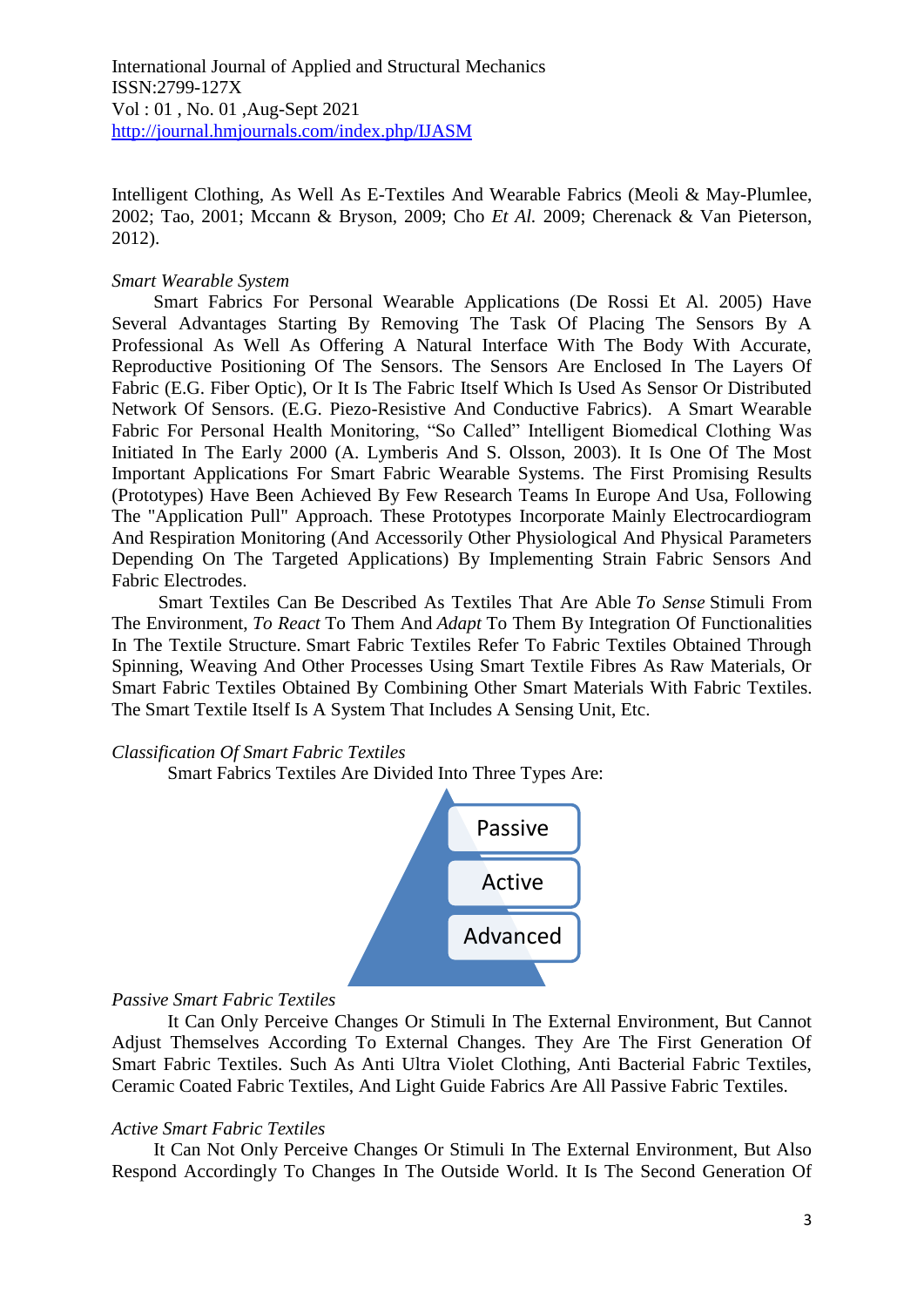Intelligent Clothing, As Well As E-Textiles And Wearable Fabrics (Meoli & May-Plumlee, 2002; Tao, 2001; Mccann & Bryson, 2009; Cho *Et Al.* 2009; Cherenack & Van Pieterson, 2012).

## *Smart Wearable System*

Smart Fabrics For Personal Wearable Applications (De Rossi Et Al. 2005) Have Several Advantages Starting By Removing The Task Of Placing The Sensors By A Professional As Well As Offering A Natural Interface With The Body With Accurate, Reproductive Positioning Of The Sensors. The Sensors Are Enclosed In The Layers Of Fabric (E.G. Fiber Optic), Or It Is The Fabric Itself Which Is Used As Sensor Or Distributed Network Of Sensors. (E.G. Piezo-Resistive And Conductive Fabrics). A Smart Wearable Fabric For Personal Health Monitoring, "So Called" Intelligent Biomedical Clothing Was Initiated In The Early 2000 (A. Lymberis And S. Olsson, 2003). It Is One Of The Most Important Applications For Smart Fabric Wearable Systems. The First Promising Results (Prototypes) Have Been Achieved By Few Research Teams In Europe And Usa, Following The "Application Pull" Approach. These Prototypes Incorporate Mainly Electrocardiogram And Respiration Monitoring (And Accessorily Other Physiological And Physical Parameters Depending On The Targeted Applications) By Implementing Strain Fabric Sensors And Fabric Electrodes.

Smart Textiles Can Be Described As Textiles That Are Able *To Sense* Stimuli From The Environment, *To React* To Them And *Adapt* To Them By Integration Of Functionalities In The Textile Structure. Smart Fabric Textiles Refer To Fabric Textiles Obtained Through Spinning, Weaving And Other Processes Using Smart Textile Fibres As Raw Materials, Or Smart Fabric Textiles Obtained By Combining Other Smart Materials With Fabric Textiles. The Smart Textile Itself Is A System That Includes A Sensing Unit, Etc.

#### *Classification Of Smart Fabric Textiles*

Smart Fabrics Textiles Are Divided Into Three Types Are:



# *Passive Smart Fabric Textiles*

It Can Only Perceive Changes Or Stimuli In The External Environment, But Cannot Adjust Themselves According To External Changes. They Are The First Generation Of Smart Fabric Textiles. Such As Anti Ultra Violet Clothing, Anti Bacterial Fabric Textiles, Ceramic Coated Fabric Textiles, And Light Guide Fabrics Are All Passive Fabric Textiles.

#### *Active Smart Fabric Textiles*

It Can Not Only Perceive Changes Or Stimuli In The External Environment, But Also Respond Accordingly To Changes In The Outside World. It Is The Second Generation Of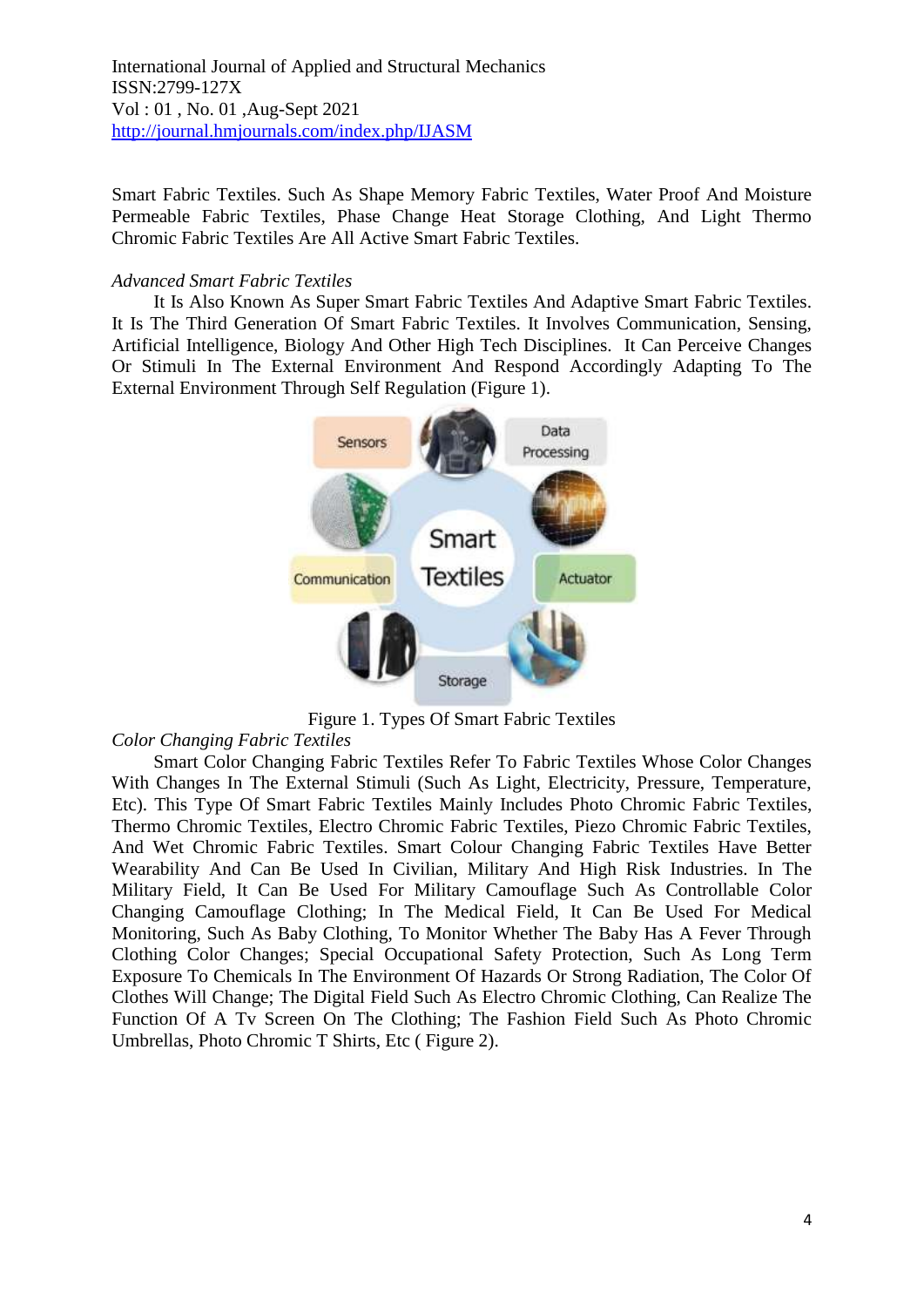Smart Fabric Textiles. Such As Shape Memory Fabric Textiles, Water Proof And Moisture Permeable Fabric Textiles, Phase Change Heat Storage Clothing, And Light Thermo Chromic Fabric Textiles Are All Active Smart Fabric Textiles.

## *Advanced Smart Fabric Textiles*

It Is Also Known As Super Smart Fabric Textiles And Adaptive Smart Fabric Textiles. It Is The Third Generation Of Smart Fabric Textiles. It Involves Communication, Sensing, Artificial Intelligence, Biology And Other High Tech Disciplines. It Can Perceive Changes Or Stimuli In The External Environment And Respond Accordingly Adapting To The External Environment Through Self Regulation (Figure 1).



Figure 1. Types Of Smart Fabric Textiles

# *Color Changing Fabric Textiles*

Smart Color Changing Fabric Textiles Refer To Fabric Textiles Whose Color Changes With Changes In The External Stimuli (Such As Light, Electricity, Pressure, Temperature, Etc). This Type Of Smart Fabric Textiles Mainly Includes Photo Chromic Fabric Textiles, Thermo Chromic Textiles, Electro Chromic Fabric Textiles, Piezo Chromic Fabric Textiles, And Wet Chromic Fabric Textiles. Smart Colour Changing Fabric Textiles Have Better Wearability And Can Be Used In Civilian, Military And High Risk Industries. In The Military Field, It Can Be Used For Military Camouflage Such As Controllable Color Changing Camouflage Clothing; In The Medical Field, It Can Be Used For Medical Monitoring, Such As Baby Clothing, To Monitor Whether The Baby Has A Fever Through Clothing Color Changes; Special Occupational Safety Protection, Such As Long Term Exposure To Chemicals In The Environment Of Hazards Or Strong Radiation, The Color Of Clothes Will Change; The Digital Field Such As Electro Chromic Clothing, Can Realize The Function Of A Tv Screen On The Clothing; The Fashion Field Such As Photo Chromic Umbrellas, Photo Chromic T Shirts, Etc ( Figure 2).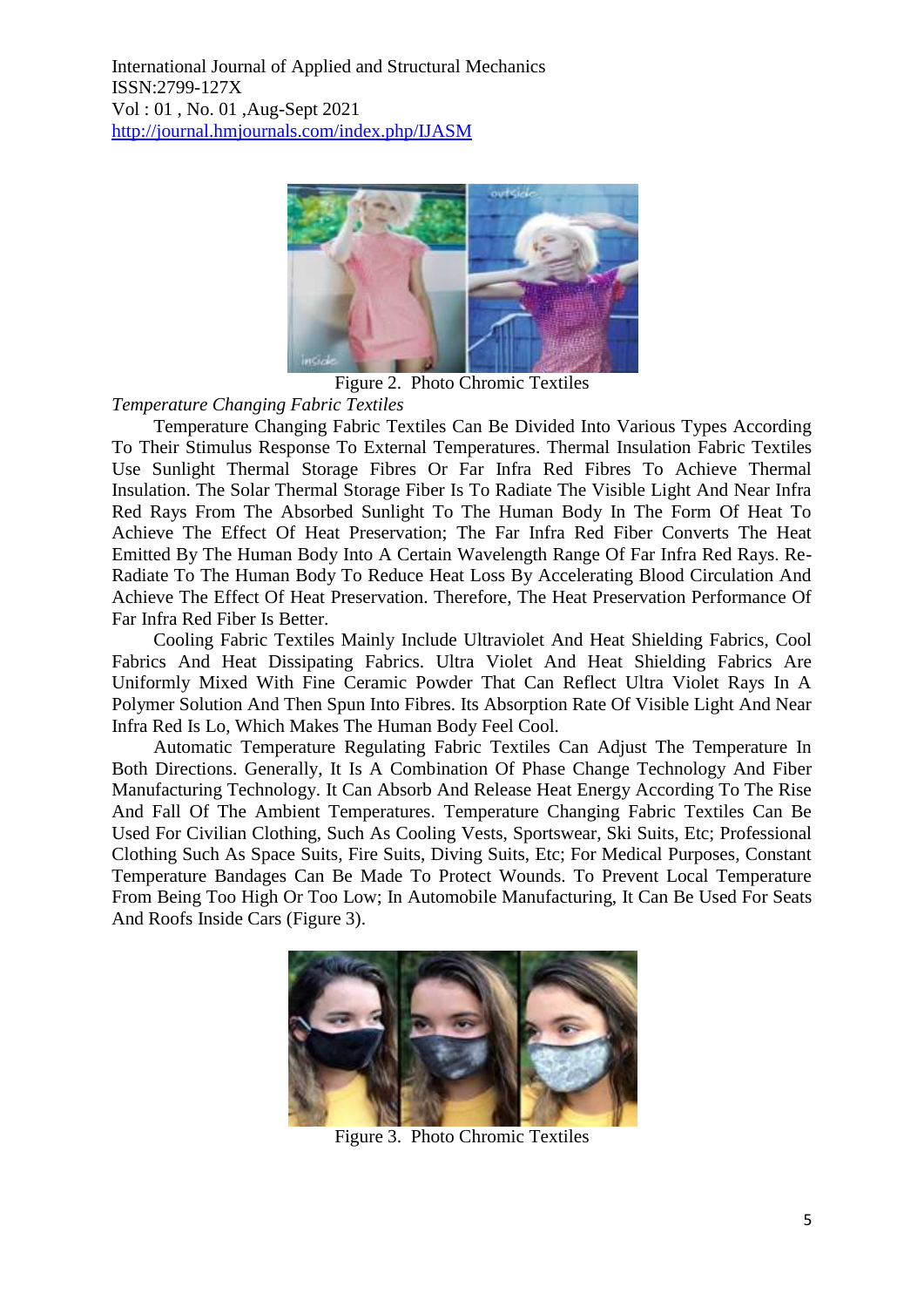

Figure 2. Photo Chromic Textiles

*Temperature Changing Fabric Textiles*

Temperature Changing Fabric Textiles Can Be Divided Into Various Types According To Their Stimulus Response To External Temperatures. Thermal Insulation Fabric Textiles Use Sunlight Thermal Storage Fibres Or Far Infra Red Fibres To Achieve Thermal Insulation. The Solar Thermal Storage Fiber Is To Radiate The Visible Light And Near Infra Red Rays From The Absorbed Sunlight To The Human Body In The Form Of Heat To Achieve The Effect Of Heat Preservation; The Far Infra Red Fiber Converts The Heat Emitted By The Human Body Into A Certain Wavelength Range Of Far Infra Red Rays. Re-Radiate To The Human Body To Reduce Heat Loss By Accelerating Blood Circulation And Achieve The Effect Of Heat Preservation. Therefore, The Heat Preservation Performance Of Far Infra Red Fiber Is Better.

Cooling Fabric Textiles Mainly Include Ultraviolet And Heat Shielding Fabrics, Cool Fabrics And Heat Dissipating Fabrics. Ultra Violet And Heat Shielding Fabrics Are Uniformly Mixed With Fine Ceramic Powder That Can Reflect Ultra Violet Rays In A Polymer Solution And Then Spun Into Fibres. Its Absorption Rate Of Visible Light And Near Infra Red Is Lo, Which Makes The Human Body Feel Cool.

Automatic Temperature Regulating Fabric Textiles Can Adjust The Temperature In Both Directions. Generally, It Is A Combination Of Phase Change Technology And Fiber Manufacturing Technology. It Can Absorb And Release Heat Energy According To The Rise And Fall Of The Ambient Temperatures. Temperature Changing Fabric Textiles Can Be Used For Civilian Clothing, Such As Cooling Vests, Sportswear, Ski Suits, Etc; Professional Clothing Such As Space Suits, Fire Suits, Diving Suits, Etc; For Medical Purposes, Constant Temperature Bandages Can Be Made To Protect Wounds. To Prevent Local Temperature From Being Too High Or Too Low; In Automobile Manufacturing, It Can Be Used For Seats And Roofs Inside Cars (Figure 3).



Figure 3. Photo Chromic Textiles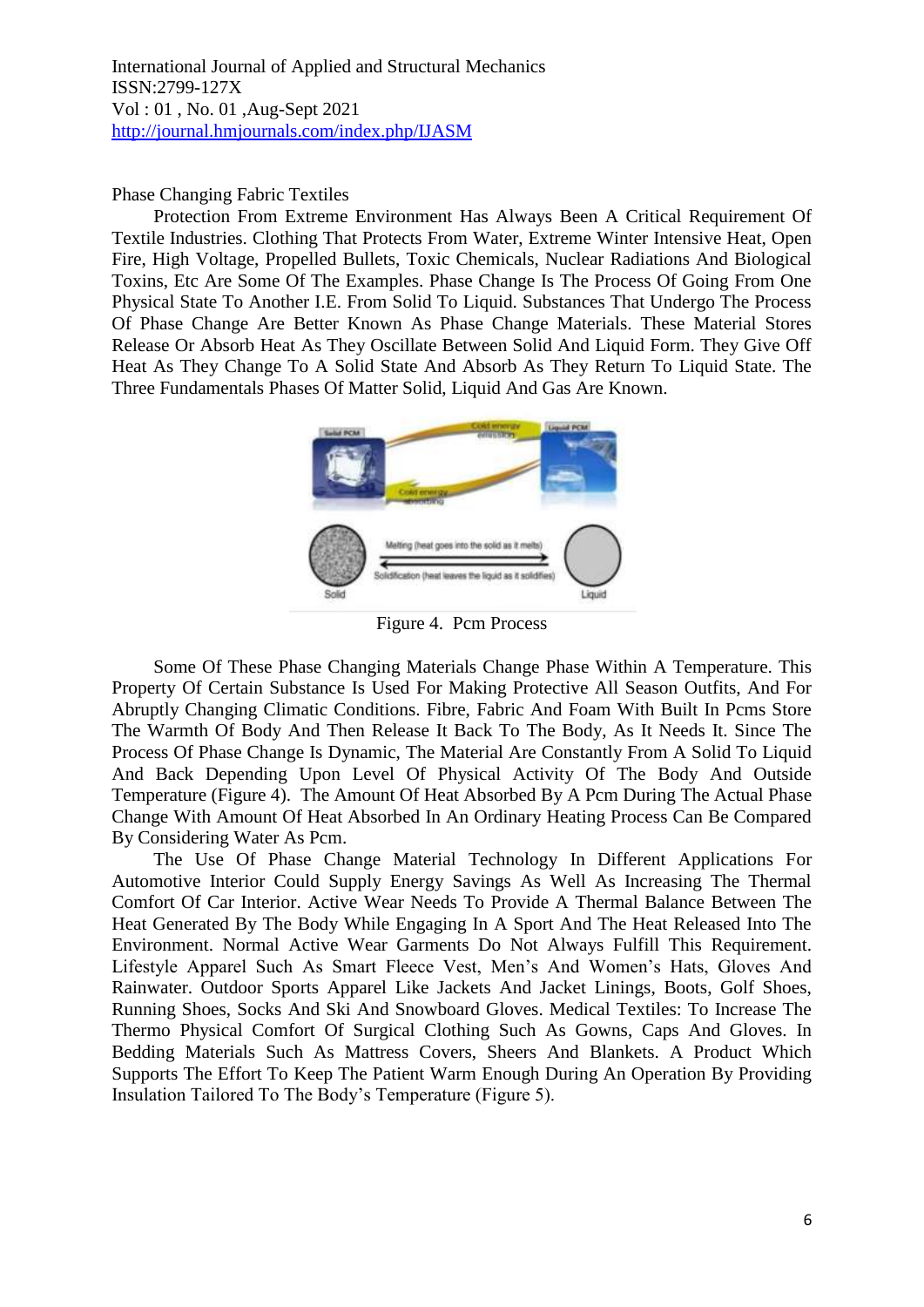Phase Changing Fabric Textiles

Protection From Extreme Environment Has Always Been A Critical Requirement Of Textile Industries. Clothing That Protects From Water, Extreme Winter Intensive Heat, Open Fire, High Voltage, Propelled Bullets, Toxic Chemicals, Nuclear Radiations And Biological Toxins, Etc Are Some Of The Examples. Phase Change Is The Process Of Going From One Physical State To Another I.E. From Solid To Liquid. Substances That Undergo The Process Of Phase Change Are Better Known As Phase Change Materials. These Material Stores Release Or Absorb Heat As They Oscillate Between Solid And Liquid Form. They Give Off Heat As They Change To A Solid State And Absorb As They Return To Liquid State. The Three Fundamentals Phases Of Matter Solid, Liquid And Gas Are Known.



Figure 4. Pcm Process

Some Of These Phase Changing Materials Change Phase Within A Temperature. This Property Of Certain Substance Is Used For Making Protective All Season Outfits, And For Abruptly Changing Climatic Conditions. Fibre, Fabric And Foam With Built In Pcms Store The Warmth Of Body And Then Release It Back To The Body, As It Needs It. Since The Process Of Phase Change Is Dynamic, The Material Are Constantly From A Solid To Liquid And Back Depending Upon Level Of Physical Activity Of The Body And Outside Temperature (Figure 4). The Amount Of Heat Absorbed By A Pcm During The Actual Phase Change With Amount Of Heat Absorbed In An Ordinary Heating Process Can Be Compared By Considering Water As Pcm.

The Use Of Phase Change Material Technology In Different Applications For Automotive Interior Could Supply Energy Savings As Well As Increasing The Thermal Comfort Of Car Interior. Active Wear Needs To Provide A Thermal Balance Between The Heat Generated By The Body While Engaging In A Sport And The Heat Released Into The Environment. Normal Active Wear Garments Do Not Always Fulfill This Requirement. Lifestyle Apparel Such As Smart Fleece Vest, Men's And Women's Hats, Gloves And Rainwater. Outdoor Sports Apparel Like Jackets And Jacket Linings, Boots, Golf Shoes, Running Shoes, Socks And Ski And Snowboard Gloves. Medical Textiles: To Increase The Thermo Physical Comfort Of Surgical Clothing Such As Gowns, Caps And Gloves. In Bedding Materials Such As Mattress Covers, Sheers And Blankets. A Product Which Supports The Effort To Keep The Patient Warm Enough During An Operation By Providing Insulation Tailored To The Body's Temperature (Figure 5).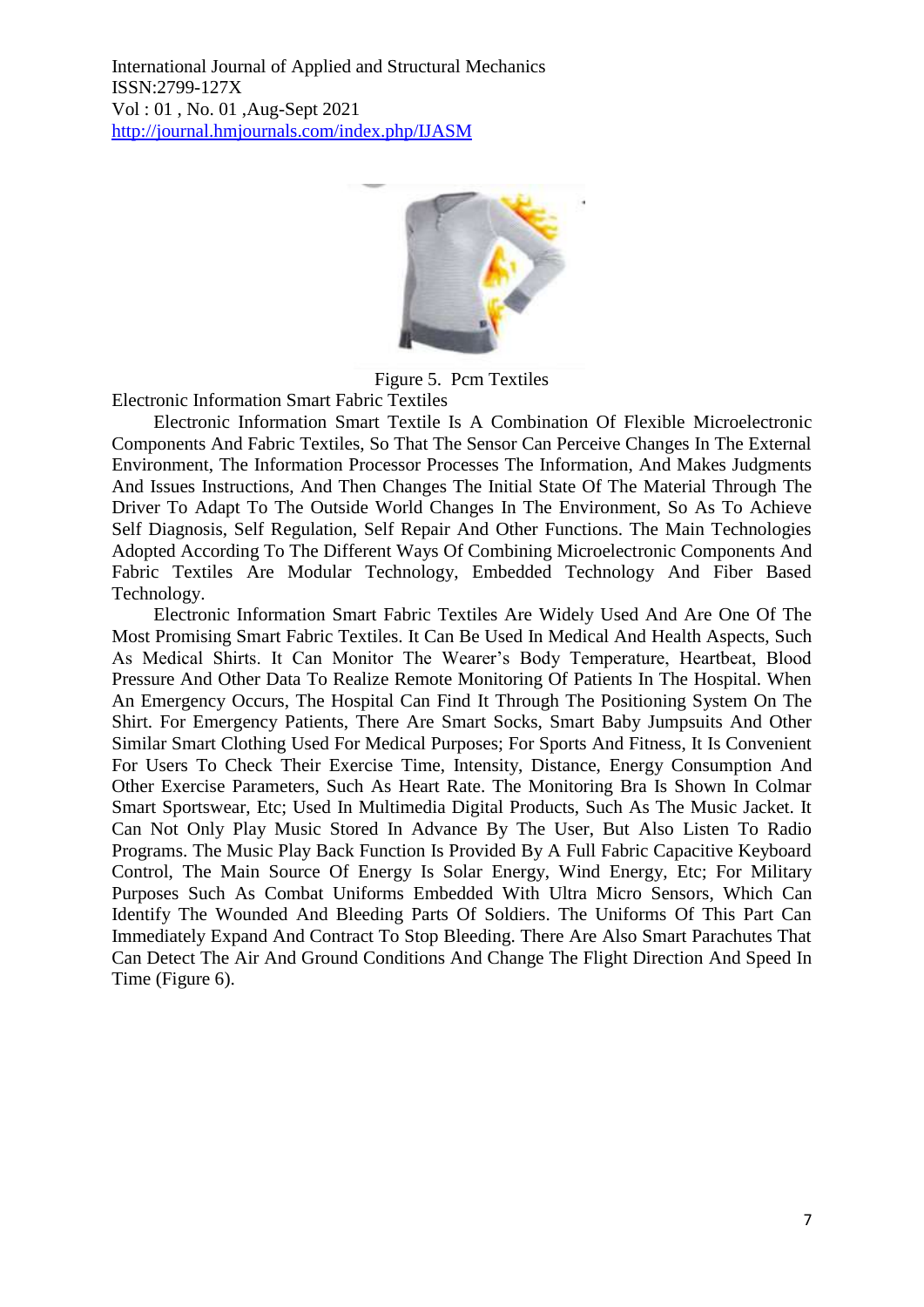

Figure 5. Pcm Textiles

Electronic Information Smart Fabric Textiles

Electronic Information Smart Textile Is A Combination Of Flexible Microelectronic Components And Fabric Textiles, So That The Sensor Can Perceive Changes In The External Environment, The Information Processor Processes The Information, And Makes Judgments And Issues Instructions, And Then Changes The Initial State Of The Material Through The Driver To Adapt To The Outside World Changes In The Environment, So As To Achieve Self Diagnosis, Self Regulation, Self Repair And Other Functions. The Main Technologies Adopted According To The Different Ways Of Combining Microelectronic Components And Fabric Textiles Are Modular Technology, Embedded Technology And Fiber Based Technology.

Electronic Information Smart Fabric Textiles Are Widely Used And Are One Of The Most Promising Smart Fabric Textiles. It Can Be Used In Medical And Health Aspects, Such As Medical Shirts. It Can Monitor The Wearer's Body Temperature, Heartbeat, Blood Pressure And Other Data To Realize Remote Monitoring Of Patients In The Hospital. When An Emergency Occurs, The Hospital Can Find It Through The Positioning System On The Shirt. For Emergency Patients, There Are Smart Socks, Smart Baby Jumpsuits And Other Similar Smart Clothing Used For Medical Purposes; For Sports And Fitness, It Is Convenient For Users To Check Their Exercise Time, Intensity, Distance, Energy Consumption And Other Exercise Parameters, Such As Heart Rate. The Monitoring Bra Is Shown In Colmar Smart Sportswear, Etc; Used In Multimedia Digital Products, Such As The Music Jacket. It Can Not Only Play Music Stored In Advance By The User, But Also Listen To Radio Programs. The Music Play Back Function Is Provided By A Full Fabric Capacitive Keyboard Control, The Main Source Of Energy Is Solar Energy, Wind Energy, Etc; For Military Purposes Such As Combat Uniforms Embedded With Ultra Micro Sensors, Which Can Identify The Wounded And Bleeding Parts Of Soldiers. The Uniforms Of This Part Can Immediately Expand And Contract To Stop Bleeding. There Are Also Smart Parachutes That Can Detect The Air And Ground Conditions And Change The Flight Direction And Speed In Time (Figure 6).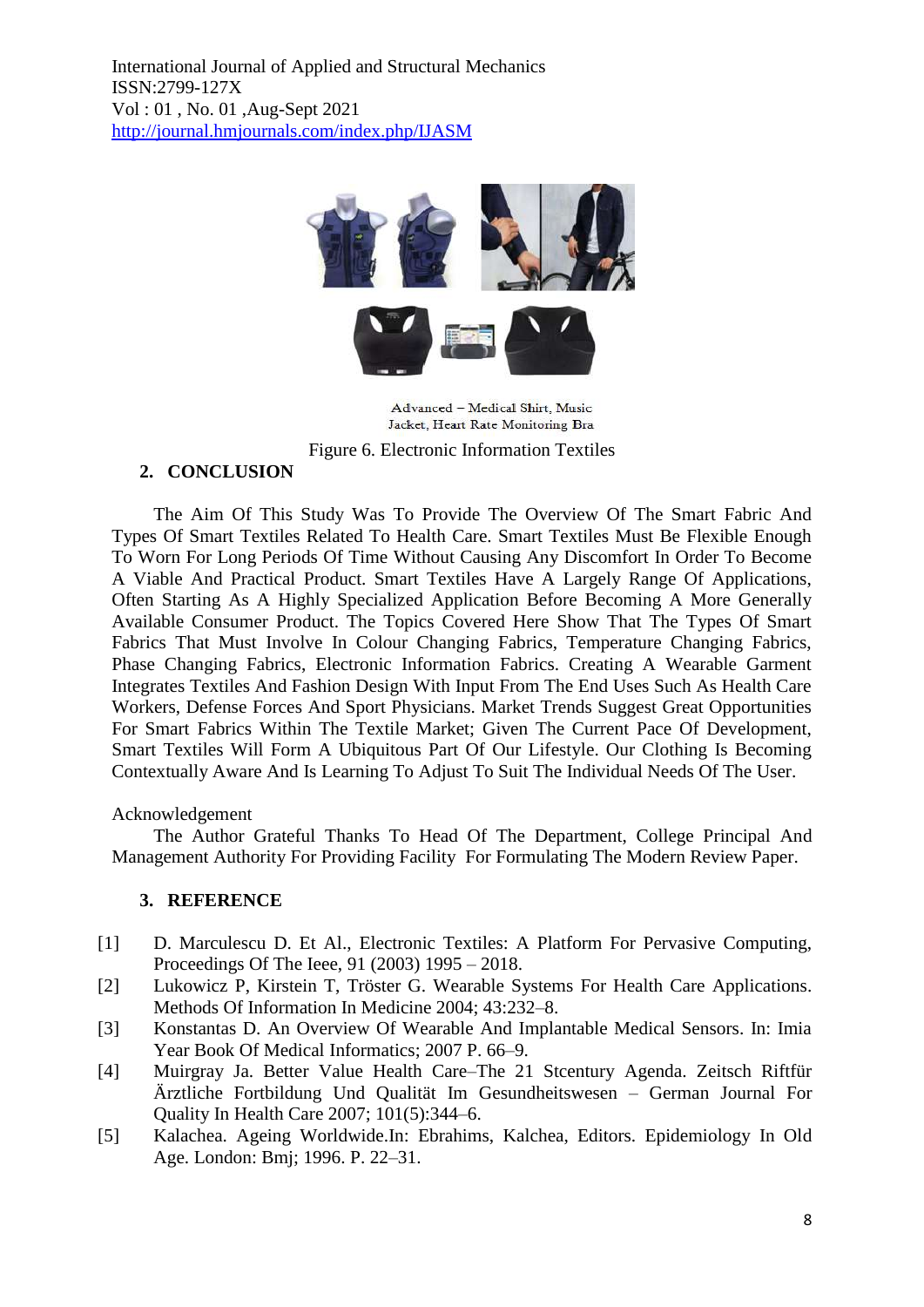

Advanced - Medical Shirt, Music Jacket, Heart Rate Monitoring Bra Figure 6. Electronic Information Textiles

# **2. CONCLUSION**

The Aim Of This Study Was To Provide The Overview Of The Smart Fabric And Types Of Smart Textiles Related To Health Care. Smart Textiles Must Be Flexible Enough To Worn For Long Periods Of Time Without Causing Any Discomfort In Order To Become A Viable And Practical Product. Smart Textiles Have A Largely Range Of Applications, Often Starting As A Highly Specialized Application Before Becoming A More Generally Available Consumer Product. The Topics Covered Here Show That The Types Of Smart Fabrics That Must Involve In Colour Changing Fabrics, Temperature Changing Fabrics, Phase Changing Fabrics, Electronic Information Fabrics. Creating A Wearable Garment Integrates Textiles And Fashion Design With Input From The End Uses Such As Health Care Workers, Defense Forces And Sport Physicians. Market Trends Suggest Great Opportunities For Smart Fabrics Within The Textile Market; Given The Current Pace Of Development, Smart Textiles Will Form A Ubiquitous Part Of Our Lifestyle. Our Clothing Is Becoming Contextually Aware And Is Learning To Adjust To Suit The Individual Needs Of The User.

# Acknowledgement

The Author Grateful Thanks To Head Of The Department, College Principal And Management Authority For Providing Facility For Formulating The Modern Review Paper.

# **3. REFERENCE**

- [1] D. Marculescu D. Et Al., Electronic Textiles: A Platform For Pervasive Computing, Proceedings Of The Ieee, 91 (2003) 1995 – 2018.
- [2] Lukowicz P, Kirstein T, Tröster G. Wearable Systems For Health Care Applications. Methods Of Information In Medicine 2004; 43:232–8.
- [3] Konstantas D. An Overview Of Wearable And Implantable Medical Sensors. In: Imia Year Book Of Medical Informatics; 2007 P. 66–9.
- [4] Muirgray Ja. Better Value Health Care–The 21 Stcentury Agenda. Zeitsch Riftfür Ärztliche Fortbildung Und Qualität Im Gesundheitswesen – German Journal For Quality In Health Care 2007; 101(5):344–6.
- [5] Kalachea. Ageing Worldwide.In: Ebrahims, Kalchea, Editors. Epidemiology In Old Age. London: Bmj; 1996. P. 22–31.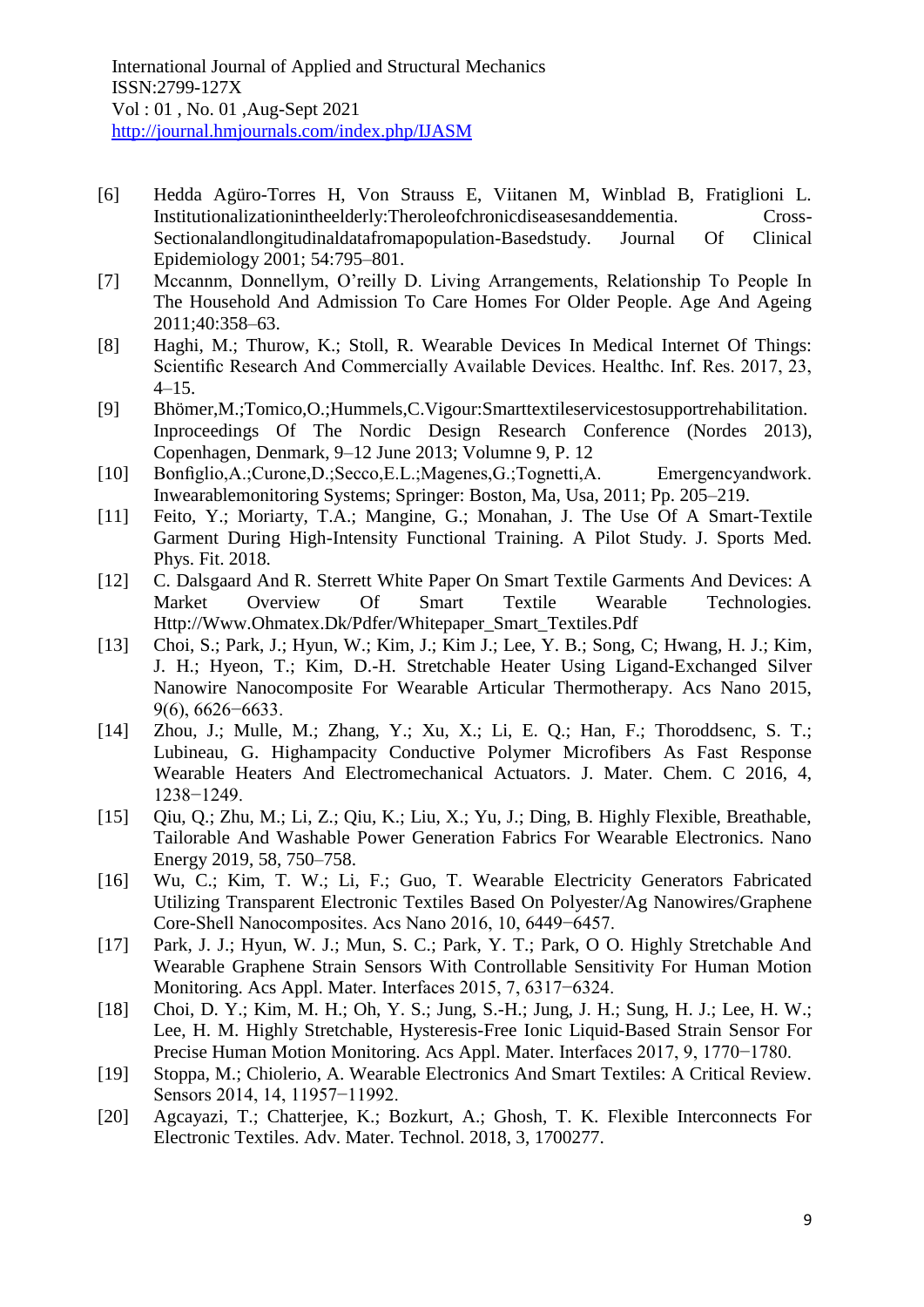- [6] Hedda Agüro-Torres H, Von Strauss E, Viitanen M, Winblad B, Fratiglioni L. Institutionalizationintheelderly:Theroleofchronicdiseasesanddementia. Cross-Sectionalandlongitudinaldatafromapopulation-Basedstudy. Journal Of Clinical Epidemiology 2001; 54:795–801.
- [7] Mccannm, Donnellym, O'reilly D. Living Arrangements, Relationship To People In The Household And Admission To Care Homes For Older People. Age And Ageing 2011;40:358–63.
- [8] Haghi, M.; Thurow, K.; Stoll, R. Wearable Devices In Medical Internet Of Things: Scientific Research And Commercially Available Devices. Healthc. Inf. Res. 2017, 23, 4–15.
- [9] Bhömer,M.;Tomico,O.;Hummels,C.Vigour:Smarttextileservicestosupportrehabilitation. Inproceedings Of The Nordic Design Research Conference (Nordes 2013), Copenhagen, Denmark, 9–12 June 2013; Volumne 9, P. 12
- [10] Bonfiglio,A.;Curone,D.;Secco,E.L.;Magenes,G.;Tognetti,A. Emergencyandwork. Inwearablemonitoring Systems; Springer: Boston, Ma, Usa, 2011; Pp. 205–219.
- [11] Feito, Y.; Moriarty, T.A.; Mangine, G.; Monahan, J. The Use Of A Smart-Textile Garment During High-Intensity Functional Training. A Pilot Study. J. Sports Med. Phys. Fit. 2018.
- [12] C. Dalsgaard And R. Sterrett White Paper On Smart Textile Garments And Devices: A Market Overview Of Smart Textile Wearable Technologies. Http://Www.Ohmatex.Dk/Pdfer/Whitepaper\_Smart\_Textiles.Pdf
- [13] Choi, S.; Park, J.; Hyun, W.; Kim, J.; Kim J.; Lee, Y. B.; Song, C; Hwang, H. J.; Kim, J. H.; Hyeon, T.; Kim, D.-H. Stretchable Heater Using Ligand-Exchanged Silver Nanowire Nanocomposite For Wearable Articular Thermotherapy. Acs Nano 2015, 9(6), 6626−6633.
- [14] Zhou, J.; Mulle, M.; Zhang, Y.; Xu, X.; Li, E. Q.; Han, F.; Thoroddsenc, S. T.; Lubineau, G. Highampacity Conductive Polymer Microfibers As Fast Response Wearable Heaters And Electromechanical Actuators. J. Mater. Chem. C 2016, 4, 1238−1249.
- [15] Qiu, Q.; Zhu, M.; Li, Z.; Qiu, K.; Liu, X.; Yu, J.; Ding, B. Highly Flexible, Breathable, Tailorable And Washable Power Generation Fabrics For Wearable Electronics. Nano Energy 2019, 58, 750–758.
- [16] Wu, C.; Kim, T. W.; Li, F.; Guo, T. Wearable Electricity Generators Fabricated Utilizing Transparent Electronic Textiles Based On Polyester/Ag Nanowires/Graphene Core-Shell Nanocomposites. Acs Nano 2016, 10, 6449−6457.
- [17] Park, J. J.; Hyun, W. J.; Mun, S. C.; Park, Y. T.; Park, O O. Highly Stretchable And Wearable Graphene Strain Sensors With Controllable Sensitivity For Human Motion Monitoring. Acs Appl. Mater. Interfaces 2015, 7, 6317−6324.
- [18] Choi, D. Y.; Kim, M. H.; Oh, Y. S.; Jung, S.-H.; Jung, J. H.; Sung, H. J.; Lee, H. W.; Lee, H. M. Highly Stretchable, Hysteresis-Free Ionic Liquid-Based Strain Sensor For Precise Human Motion Monitoring. Acs Appl. Mater. Interfaces 2017, 9, 1770−1780.
- [19] Stoppa, M.; Chiolerio, A. Wearable Electronics And Smart Textiles: A Critical Review. Sensors 2014, 14, 11957−11992.
- [20] Agcayazi, T.; Chatterjee, K.; Bozkurt, A.; Ghosh, T. K. Flexible Interconnects For Electronic Textiles. Adv. Mater. Technol. 2018, 3, 1700277.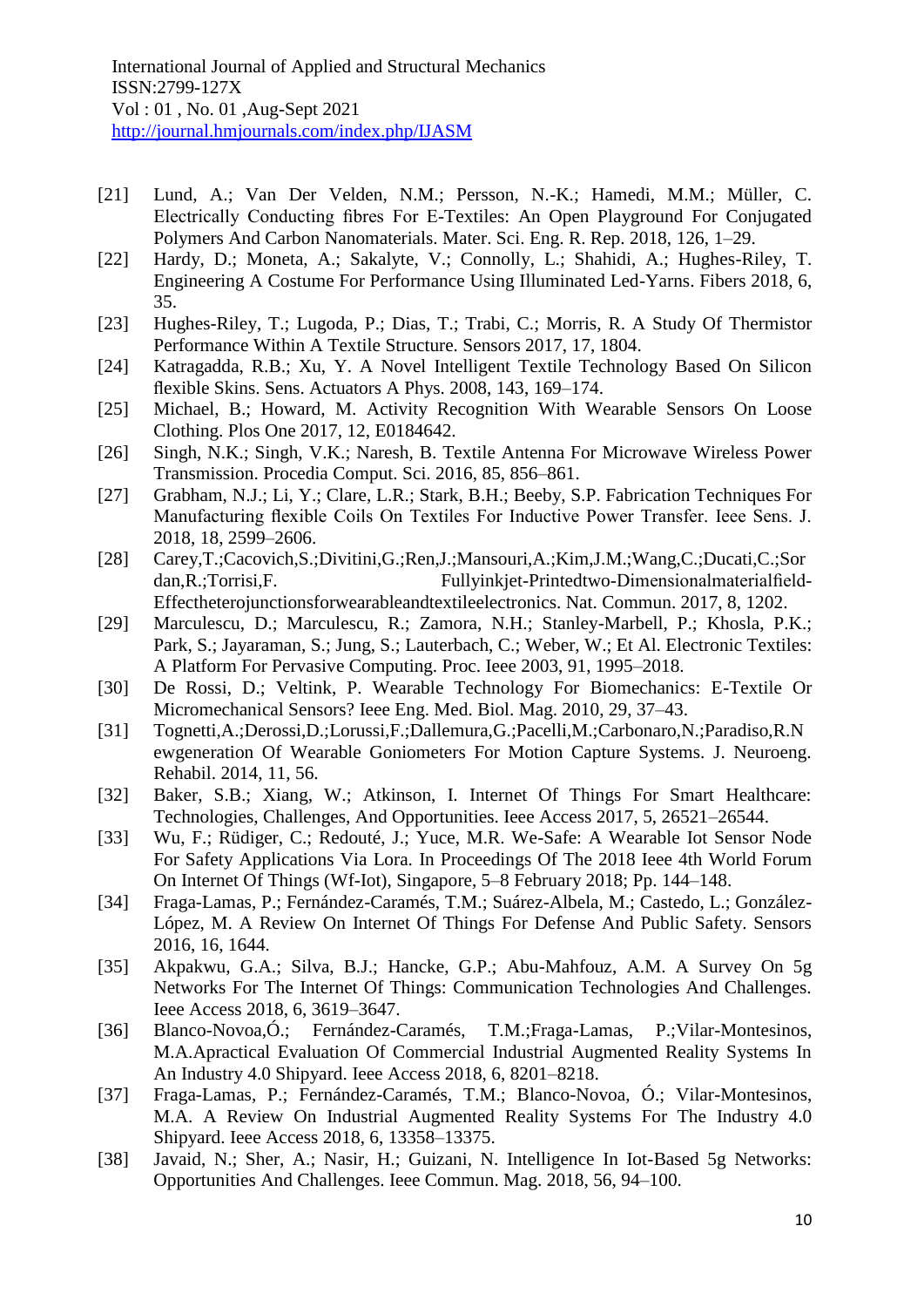- [21] Lund, A.; Van Der Velden, N.M.; Persson, N.-K.; Hamedi, M.M.; Müller, C. Electrically Conducting fibres For E-Textiles: An Open Playground For Conjugated Polymers And Carbon Nanomaterials. Mater. Sci. Eng. R. Rep. 2018, 126, 1–29.
- [22] Hardy, D.; Moneta, A.; Sakalyte, V.; Connolly, L.; Shahidi, A.; Hughes-Riley, T. Engineering A Costume For Performance Using Illuminated Led-Yarns. Fibers 2018, 6, 35.
- [23] Hughes-Riley, T.; Lugoda, P.; Dias, T.; Trabi, C.; Morris, R. A Study Of Thermistor Performance Within A Textile Structure. Sensors 2017, 17, 1804.
- [24] Katragadda, R.B.; Xu, Y. A Novel Intelligent Textile Technology Based On Silicon flexible Skins. Sens. Actuators A Phys. 2008, 143, 169–174.
- [25] Michael, B.; Howard, M. Activity Recognition With Wearable Sensors On Loose Clothing. Plos One 2017, 12, E0184642.
- [26] Singh, N.K.; Singh, V.K.; Naresh, B. Textile Antenna For Microwave Wireless Power Transmission. Procedia Comput. Sci. 2016, 85, 856–861.
- [27] Grabham, N.J.; Li, Y.; Clare, L.R.; Stark, B.H.; Beeby, S.P. Fabrication Techniques For Manufacturing flexible Coils On Textiles For Inductive Power Transfer. Ieee Sens. J. 2018, 18, 2599–2606.
- [28] Carey,T.;Cacovich,S.;Divitini,G.;Ren,J.;Mansouri,A.;Kim,J.M.;Wang,C.;Ducati,C.;Sor dan, R.; Torrisi, F. Fullyinkjet-Printedtwo-Dimensionalmaterialfield-Effectheterojunctionsforwearableandtextileelectronics. Nat. Commun. 2017, 8, 1202.
- [29] Marculescu, D.; Marculescu, R.; Zamora, N.H.; Stanley-Marbell, P.; Khosla, P.K.; Park, S.; Jayaraman, S.; Jung, S.; Lauterbach, C.; Weber, W.; Et Al. Electronic Textiles: A Platform For Pervasive Computing. Proc. Ieee 2003, 91, 1995–2018.
- [30] De Rossi, D.; Veltink, P. Wearable Technology For Biomechanics: E-Textile Or Micromechanical Sensors? Ieee Eng. Med. Biol. Mag. 2010, 29, 37–43.
- [31] Tognetti,A.;Derossi,D.;Lorussi,F.;Dallemura,G.;Pacelli,M.;Carbonaro,N.;Paradiso,R.N ewgeneration Of Wearable Goniometers For Motion Capture Systems. J. Neuroeng. Rehabil. 2014, 11, 56.
- [32] Baker, S.B.; Xiang, W.; Atkinson, I. Internet Of Things For Smart Healthcare: Technologies, Challenges, And Opportunities. Ieee Access 2017, 5, 26521–26544.
- [33] Wu, F.; Rüdiger, C.; Redouté, J.; Yuce, M.R. We-Safe: A Wearable Iot Sensor Node For Safety Applications Via Lora. In Proceedings Of The 2018 Ieee 4th World Forum On Internet Of Things (Wf-Iot), Singapore, 5–8 February 2018; Pp. 144–148.
- [34] Fraga-Lamas, P.; Fernández-Caramés, T.M.; Suárez-Albela, M.; Castedo, L.; González-López, M. A Review On Internet Of Things For Defense And Public Safety. Sensors 2016, 16, 1644.
- [35] Akpakwu, G.A.; Silva, B.J.; Hancke, G.P.; Abu-Mahfouz, A.M. A Survey On 5g Networks For The Internet Of Things: Communication Technologies And Challenges. Ieee Access 2018, 6, 3619–3647.
- [36] Blanco-Novoa,Ó.; Fernández-Caramés, T.M.;Fraga-Lamas, P.;Vilar-Montesinos, M.A.Apractical Evaluation Of Commercial Industrial Augmented Reality Systems In An Industry 4.0 Shipyard. Ieee Access 2018, 6, 8201–8218.
- [37] Fraga-Lamas, P.; Fernández-Caramés, T.M.; Blanco-Novoa, Ó.; Vilar-Montesinos, M.A. A Review On Industrial Augmented Reality Systems For The Industry 4.0 Shipyard. Ieee Access 2018, 6, 13358–13375.
- [38] Javaid, N.; Sher, A.; Nasir, H.; Guizani, N. Intelligence In Iot-Based 5g Networks: Opportunities And Challenges. Ieee Commun. Mag. 2018, 56, 94–100.